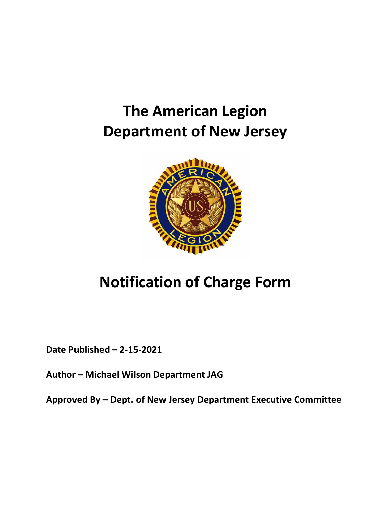## **The American Legion Department of New Jersey**



## **Notification of Charge Form**

**Date Published – 2-15-2021**

**Author – Michael Wilson Department JAG**

**Approved By – Dept. of New Jersey Department Executive Committee**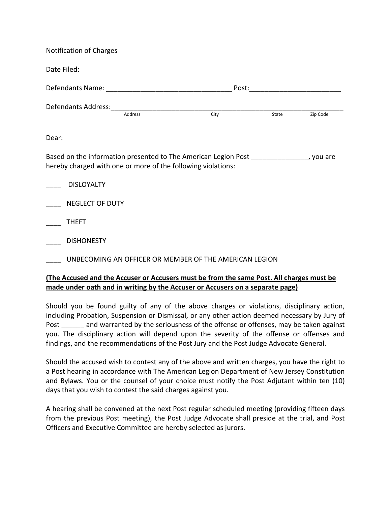| <b>Notification of Charges</b>                                                                                                                           |  |                                                  |  |                |  |
|----------------------------------------------------------------------------------------------------------------------------------------------------------|--|--------------------------------------------------|--|----------------|--|
| Date Filed:                                                                                                                                              |  |                                                  |  |                |  |
|                                                                                                                                                          |  |                                                  |  |                |  |
|                                                                                                                                                          |  | Defendants Address: Address Address Address City |  |                |  |
|                                                                                                                                                          |  |                                                  |  | State Zip Code |  |
| Dear:                                                                                                                                                    |  |                                                  |  |                |  |
| Based on the information presented to The American Legion Post ________________, you are<br>hereby charged with one or more of the following violations: |  |                                                  |  |                |  |
| <b>DISLOYALTY</b>                                                                                                                                        |  |                                                  |  |                |  |
| <b>NEGLECT OF DUTY</b>                                                                                                                                   |  |                                                  |  |                |  |
| <b>THEFT</b>                                                                                                                                             |  |                                                  |  |                |  |
| <b>DISHONESTY</b>                                                                                                                                        |  |                                                  |  |                |  |
| UNBECOMING AN OFFICER OR MEMBER OF THE AMERICAN LEGION                                                                                                   |  |                                                  |  |                |  |
| <b>The Accused and the Accuser or Accusers must be from the same Post. All charges must be</b>                                                           |  |                                                  |  |                |  |
| made under oath and in writing by the Accuser or Accusers on a separate page)                                                                            |  |                                                  |  |                |  |

Should you be found guilty of any of the above charges or violations, disciplinary action, including Probation, Suspension or Dismissal, or any other action deemed necessary by Jury of Post and warranted by the seriousness of the offense or offenses, may be taken against you. The disciplinary action will depend upon the severity of the offense or offenses and findings, and the recommendations of the Post Jury and the Post Judge Advocate General.

Should the accused wish to contest any of the above and written charges, you have the right to a Post hearing in accordance with The American Legion Department of New Jersey Constitution and Bylaws. You or the counsel of your choice must notify the Post Adjutant within ten (10) days that you wish to contest the said charges against you.

A hearing shall be convened at the next Post regular scheduled meeting (providing fifteen days from the previous Post meeting), the Post Judge Advocate shall preside at the trial, and Post Officers and Executive Committee are hereby selected as jurors.